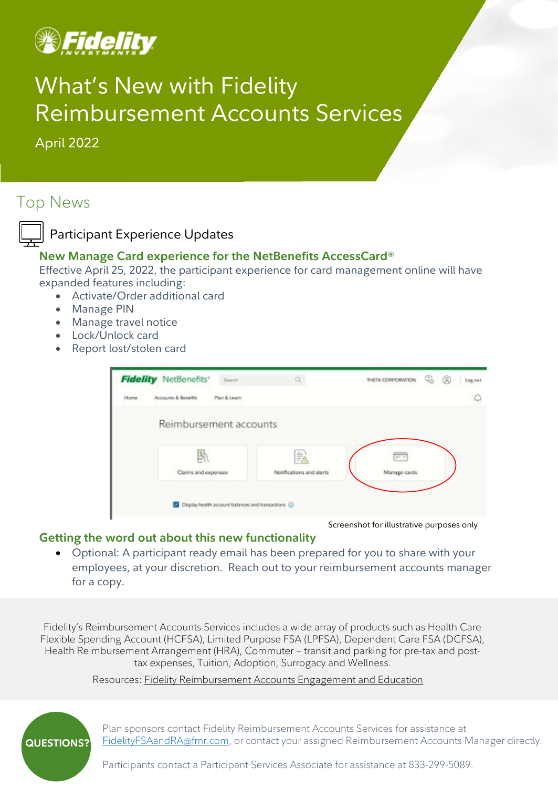

## What's New with Fidelity Reimbursement Accounts Services

April 2022

## Top News



## **New Manage Card experience for the NetBenefits AccessCard®**

Effective April 25, 2022, the participant experience for card management online will have expanded features including:

- Activate/Order additional card
- Manage PIN
- Manage travel notice
- Lock/Unlock card
- Report lost/stolen card

| Plan & Learn<br>Reimbursement accounts |                     |                          |              |  |
|----------------------------------------|---------------------|--------------------------|--------------|--|
|                                        |                     |                          |              |  |
|                                        |                     |                          |              |  |
| 坠                                      | 詠                   | $\overline{\phantom{a}}$ |              |  |
|                                        | Claims and expenses | Notifications and alerts | Manage cards |  |

Screenshot for illustrative purposes only

## **Getting the word out about this new functionality**

• Optional: A participant ready email has been prepared for you to share with your employees, at your discretion. Reach out to your reimbursement accounts manager for a copy.

Fidelity's Reimbursement Accounts Services includes a wide array of products such as Health Care Flexible Spending Account (HCFSA), Limited Purpose FSA (LPFSA), Dependent Care FSA (DCFSA), Health Reimbursement Arrangement (HRA), Commuter – transit and parking for pre-tax and posttax expenses, Tuition, Adoption, Surrogacy and Wellness.

Resources: [Fidelity Reimbursement Accounts Engagement](https://sponsor.fidelity.com/pspublic/pca/psw/public/library/engageemployees/fsra_engagement_and_education.html) and Education



Plan sponsors contact Fidelity Reimbursement Accounts Services for assistance at [FidelityFSAandRA@fmr.com,](mailto:FidelityFSAandRA@fmr.com) or contact your assigned Reimbursement Accounts Manager directly.

Participants contact a Participant Services Associate for assistance at 833-299-5089.